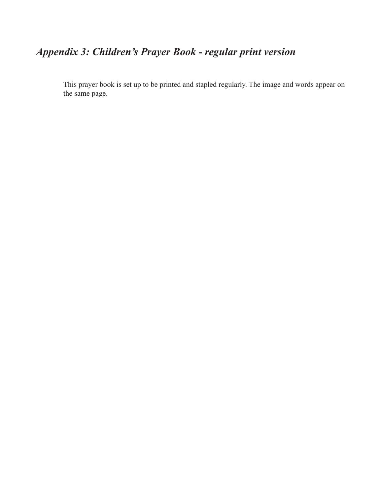## *Appendix 3: Children's Prayer Book - regular print version*

This prayer book is set up to be printed and stapled regularly. The image and words appear on the same page.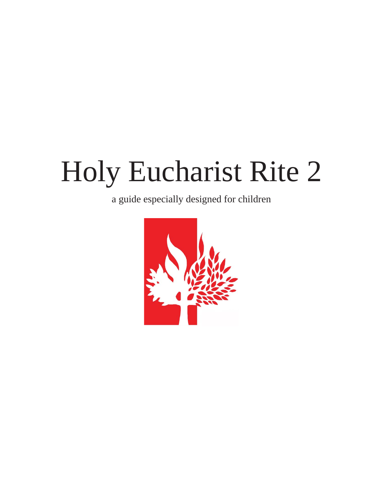## Holy Eucharist Rite 2

a guide especially designed for children

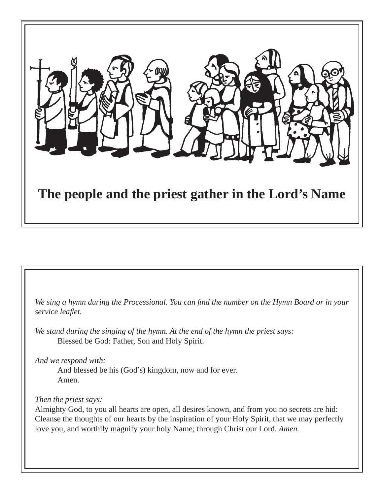

We sing a hymn during the Processional. You can find the number on the Hymn Board or in your *service leafl et.*

*We stand during the singing of the hymn. At the end of the hymn the priest says:* Blessed be God: Father, Son and Holy Spirit.

*And we respond with:*

 And blessed be his (God's) kingdom, now and for ever. Amen.

## *Then the priest says:*

Almighty God, to you all hearts are open, all desires known, and from you no secrets are hid: Cleanse the thoughts of our hearts by the inspiration of your Holy Spirit, that we may perfectly love you, and worthily magnify your holy Name; through Christ our Lord. *Amen.*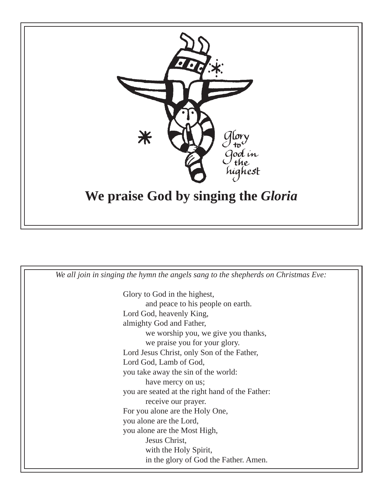

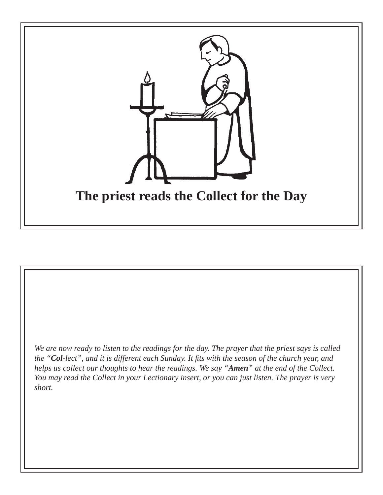

*We are now ready to listen to the readings for the day. The prayer that the priest says is called the "Col-lect", and it is different each Sunday. It fits with the season of the church year, and helps us collect our thoughts to hear the readings. We say "Amen" at the end of the Collect. You may read the Collect in your Lectionary insert, or you can just listen. The prayer is very short.*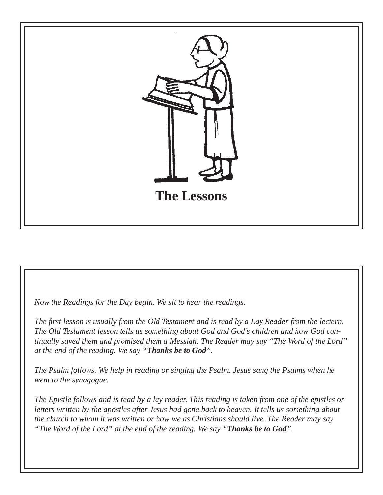

*Now the Readings for the Day begin. We sit to hear the readings.*

*The fi rst lesson is usually from the Old Testament and is read by a Lay Reader from the lectern. The Old Testament lesson tells us something about God and God's children and how God continually saved them and promised them a Messiah. The Reader may say "The Word of the Lord" at the end of the reading. We say "Thanks be to God".*

*The Psalm follows. We help in reading or singing the Psalm. Jesus sang the Psalms when he went to the synagogue.* 

*The Epistle follows and is read by a lay reader. This reading is taken from one of the epistles or letters written by the apostles after Jesus had gone back to heaven. It tells us something about the church to whom it was written or how we as Christians should live. The Reader may say "The Word of the Lord" at the end of the reading. We say "Thanks be to God".*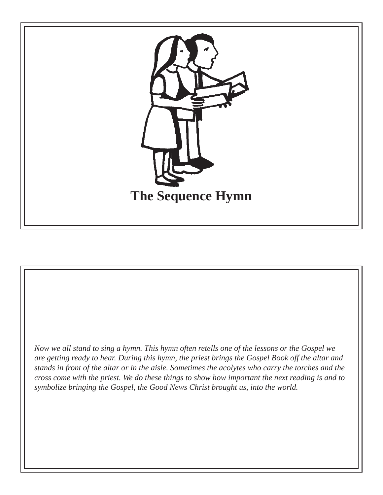

*Now we all stand to sing a hymn. This hymn often retells one of the lessons or the Gospel we are getting ready to hear. During this hymn, the priest brings the Gospel Book off the altar and stands in front of the altar or in the aisle. Sometimes the acolytes who carry the torches and the cross come with the priest. We do these things to show how important the next reading is and to symbolize bringing the Gospel, the Good News Christ brought us, into the world.*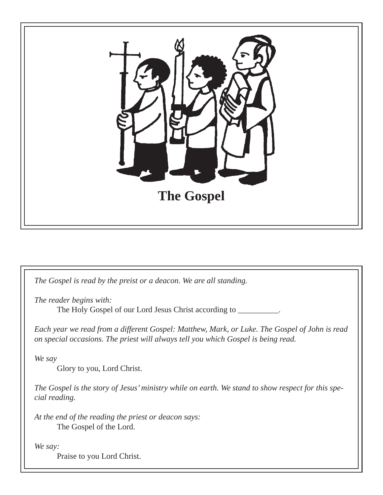

*The Gospel is read by the preist or a deacon. We are all standing. The reader begins with:* The Holy Gospel of our Lord Jesus Christ according to \_\_\_\_\_\_\_\_\_. *Each year we read from a different Gospel: Matthew, Mark, or Luke. The Gospel of John is read on special occasions. The priest will always tell you which Gospel is being read. We say* Glory to you, Lord Christ. *The Gospel is the story of Jesus' ministry while on earth. We stand to show respect for this special reading. At the end of the reading the priest or deacon says:* The Gospel of the Lord. *We say:* Praise to you Lord Christ.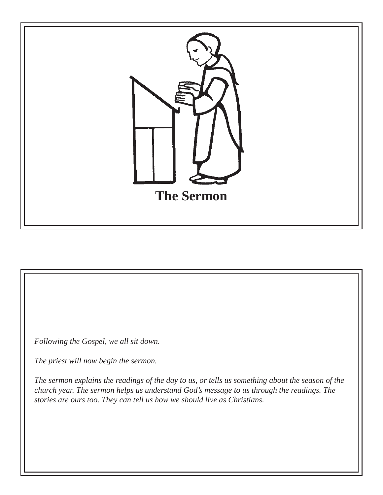

*Following the Gospel, we all sit down.* 

*The priest will now begin the sermon.*

*The sermon explains the readings of the day to us, or tells us something about the season of the church year. The sermon helps us understand God's message to us through the readings. The stories are ours too. They can tell us how we should live as Christians.*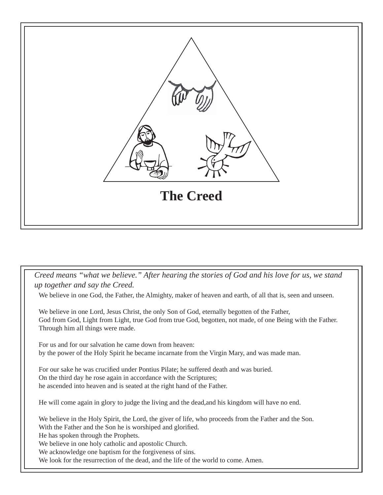

*Creed means "what we believe." After hearing the stories of God and his love for us, we stand up together and say the Creed.* 

We believe in one God, the Father, the Almighty, maker of heaven and earth, of all that is, seen and unseen.

We believe in one Lord, Jesus Christ, the only Son of God, eternally begotten of the Father, God from God, Light from Light, true God from true God, begotten, not made, of one Being with the Father. Through him all things were made.

For us and for our salvation he came down from heaven: by the power of the Holy Spirit he became incarnate from the Virgin Mary, and was made man.

For our sake he was crucified under Pontius Pilate; he suffered death and was buried. On the third day he rose again in accordance with the Scriptures; he ascended into heaven and is seated at the right hand of the Father.

He will come again in glory to judge the living and the dead,and his kingdom will have no end.

We believe in the Holy Spirit, the Lord, the giver of life, who proceeds from the Father and the Son. With the Father and the Son he is worshiped and glorified.

He has spoken through the Prophets.

We believe in one holy catholic and apostolic Church.

We acknowledge one baptism for the forgiveness of sins.

We look for the resurrection of the dead, and the life of the world to come. Amen.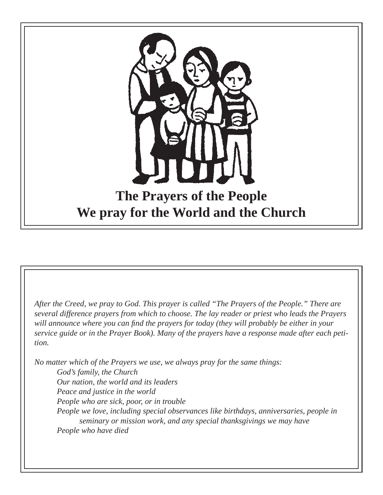

*After the Creed, we pray to God. This prayer is called "The Prayers of the People." There are several difference prayers from which to choose. The lay reader or priest who leads the Prayers*  will announce where you can find the prayers for today (they will probably be either in your *service guide or in the Prayer Book). Many of the prayers have a response made after each petition.*

*No matter which of the Prayers we use, we always pray for the same things: God's family, the Church Our nation, the world and its leaders Peace and justice in the world People who are sick, poor, or in trouble People we love, including special observances like birthdays, anniversaries, people in seminary or mission work, and any special thanksgivings we may have People who have died*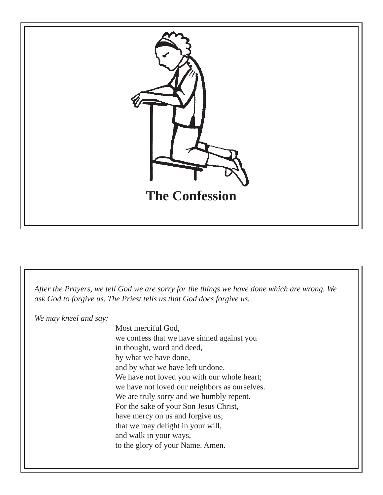

*After the Prayers, we tell God we are sorry for the things we have done which are wrong. We ask God to forgive us. The Priest tells us that God does forgive us.*

*We may kneel and say:*

Most merciful God, we confess that we have sinned against you in thought, word and deed, by what we have done, and by what we have left undone. We have not loved you with our whole heart; we have not loved our neighbors as ourselves. We are truly sorry and we humbly repent. For the sake of your Son Jesus Christ, have mercy on us and forgive us; that we may delight in your will, and walk in your ways, to the glory of your Name. Amen.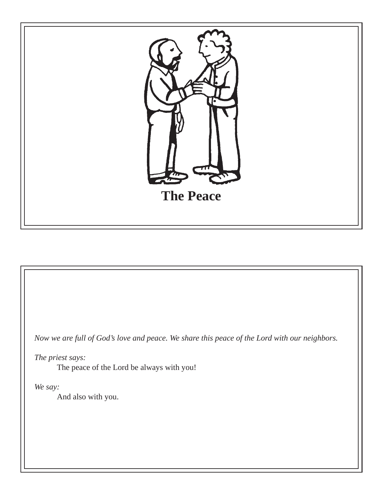

*Now we are full of God's love and peace. We share this peace of the Lord with our neighbors.*

*The priest says:*

The peace of the Lord be always with you!

*We say:*

And also with you.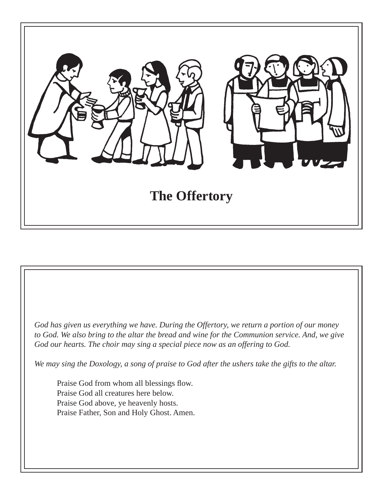

*God has given us everything we have. During the Offertory, we return a portion of our money to God. We also bring to the altar the bread and wine for the Communion service. And, we give God our hearts. The choir may sing a special piece now as an offering to God.*

*We may sing the Doxology, a song of praise to God after the ushers take the gifts to the altar.*

Praise God from whom all blessings flow. Praise God all creatures here below. Praise God above, ye heavenly hosts. Praise Father, Son and Holy Ghost. Amen.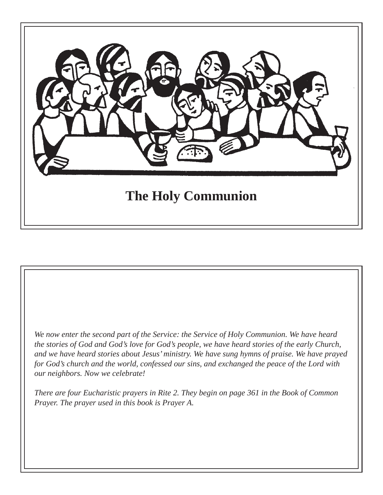

*We now enter the second part of the Service: the Service of Holy Communion. We have heard the stories of God and God's love for God's people, we have heard stories of the early Church, and we have heard stories about Jesus' ministry. We have sung hymns of praise. We have prayed for God's church and the world, confessed our sins, and exchanged the peace of the Lord with our neighbors. Now we celebrate!*

*There are four Eucharistic prayers in Rite 2. They begin on page 361 in the Book of Common Prayer. The prayer used in this book is Prayer A.*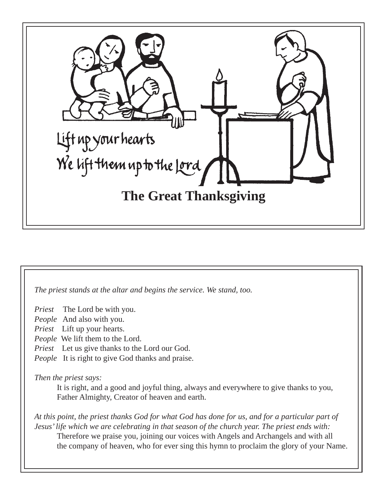

*The priest stands at the altar and begins the service. We stand, too.*

*Priest* The Lord be with you.

*People* And also with you.

*Priest* Lift up your hearts.

*People* We lift them to the Lord.

*Priest* Let us give thanks to the Lord our God.

*People* It is right to give God thanks and praise.

*Then the priest says:*

 It is right, and a good and joyful thing, always and everywhere to give thanks to you, Father Almighty, Creator of heaven and earth.

*At this point, the priest thanks God for what God has done for us, and for a particular part of Jesus' life which we are celebrating in that season of the church year. The priest ends with:* Therefore we praise you, joining our voices with Angels and Archangels and with all the company of heaven, who for ever sing this hymn to proclaim the glory of your Name.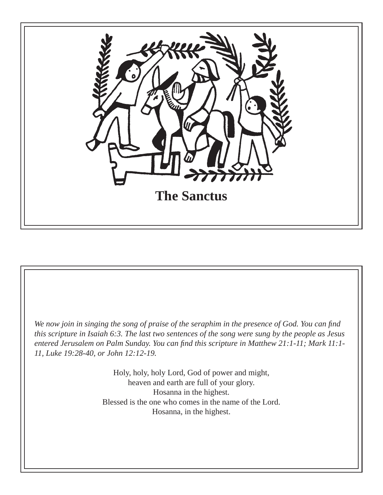

*We now join in singing the song of praise of the seraphim in the presence of God. You can find this scripture in Isaiah 6:3. The last two sentences of the song were sung by the people as Jesus entered Jerusalem on Palm Sunday. You can find this scripture in Matthew 21:1-11; Mark 11:1-11, Luke 19:28-40, or John 12:12-19.*

> Holy, holy, holy Lord, God of power and might, heaven and earth are full of your glory. Hosanna in the highest. Blessed is the one who comes in the name of the Lord. Hosanna, in the highest.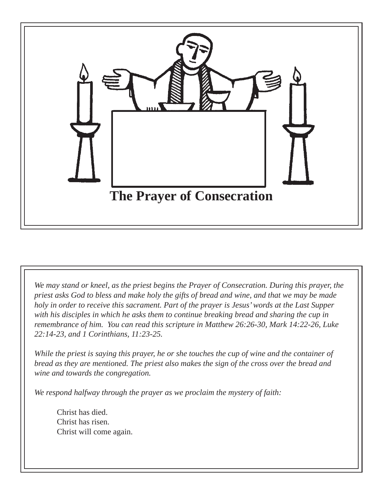

*We may stand or kneel, as the priest begins the Prayer of Consecration. During this prayer, the priest asks God to bless and make holy the gifts of bread and wine, and that we may be made holy in order to receive this sacrament. Part of the prayer is Jesus' words at the Last Supper with his disciples in which he asks them to continue breaking bread and sharing the cup in remembrance of him. You can read this scripture in Matthew 26:26-30, Mark 14:22-26, Luke 22:14-23, and 1 Corinthians, 11:23-25.*

*While the priest is saying this prayer, he or she touches the cup of wine and the container of bread as they are mentioned. The priest also makes the sign of the cross over the bread and wine and towards the congregation.* 

*We respond halfway through the prayer as we proclaim the mystery of faith:*

 Christ has died. Christ has risen. Christ will come again.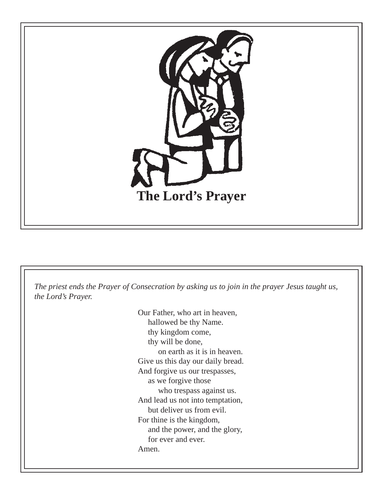

*The priest ends the Prayer of Consecration by asking us to join in the prayer Jesus taught us, the Lord's Prayer.* 

> Our Father, who art in heaven, hallowed be thy Name. thy kingdom come, thy will be done, on earth as it is in heaven. Give us this day our daily bread. And forgive us our trespasses, as we forgive those who trespass against us. And lead us not into temptation, but deliver us from evil. For thine is the kingdom, and the power, and the glory, for ever and ever. Amen.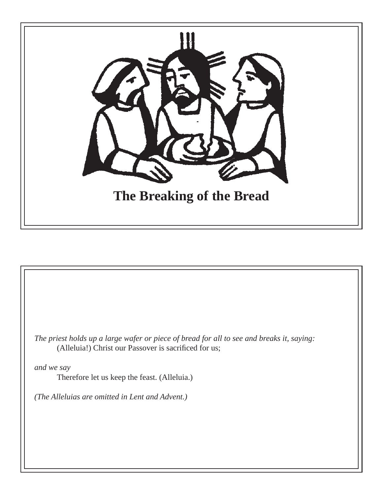

*The priest holds up a large wafer or piece of bread for all to see and breaks it, saying:* (Alleluia!) Christ our Passover is sacrificed for us;

*and we say* Therefore let us keep the feast. (Alleluia.)

*(The Alleluias are omitted in Lent and Advent.)*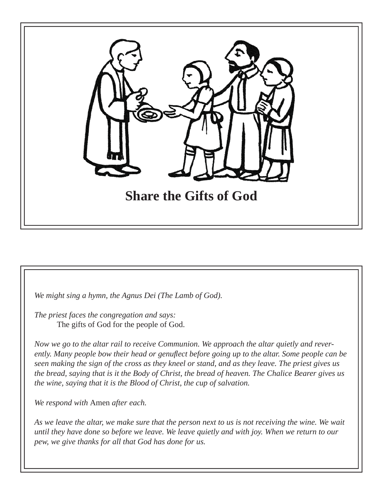

*We might sing a hymn, the Agnus Dei (The Lamb of God).* 

*The priest faces the congregation and says:* The gifts of God for the people of God.

*Now we go to the altar rail to receive Communion. We approach the altar quietly and reverently. Many people bow their head or genufl ect before going up to the altar. Some people can be seen making the sign of the cross as they kneel or stand, and as they leave. The priest gives us the bread, saying that is it the Body of Christ, the bread of heaven. The Chalice Bearer gives us the wine, saying that it is the Blood of Christ, the cup of salvation.* 

*We respond with* Amen *after each.* 

*As we leave the altar, we make sure that the person next to us is not receiving the wine. We wait until they have done so before we leave. We leave quietly and with joy. When we return to our pew, we give thanks for all that God has done for us.*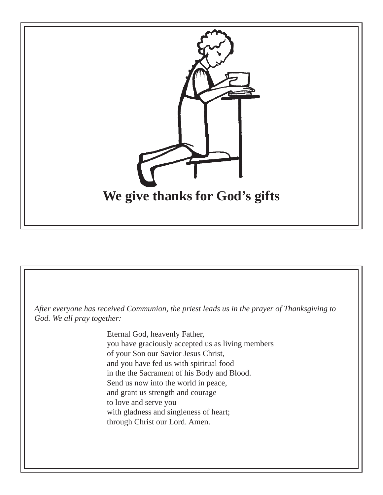

*After everyone has received Communion, the priest leads us in the prayer of Thanksgiving to God. We all pray together:*

> Eternal God, heavenly Father, you have graciously accepted us as living members of your Son our Savior Jesus Christ, and you have fed us with spiritual food in the the Sacrament of his Body and Blood. Send us now into the world in peace, and grant us strength and courage to love and serve you with gladness and singleness of heart; through Christ our Lord. Amen.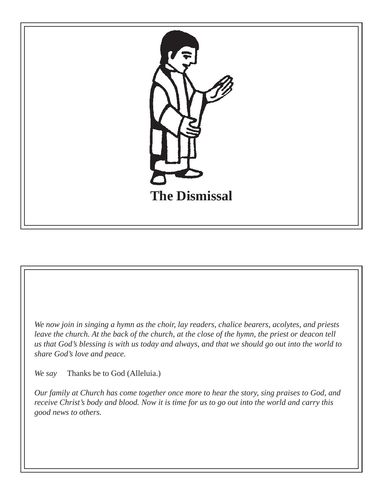

*We now join in singing a hymn as the choir, lay readers, chalice bearers, acolytes, and priests leave the church. At the back of the church, at the close of the hymn, the priest or deacon tell us that God's blessing is with us today and always, and that we should go out into the world to share God's love and peace.* 

*We say* Thanks be to God (Alleluia.)

*Our family at Church has come together once more to hear the story, sing praises to God, and receive Christ's body and blood. Now it is time for us to go out into the world and carry this good news to others.*